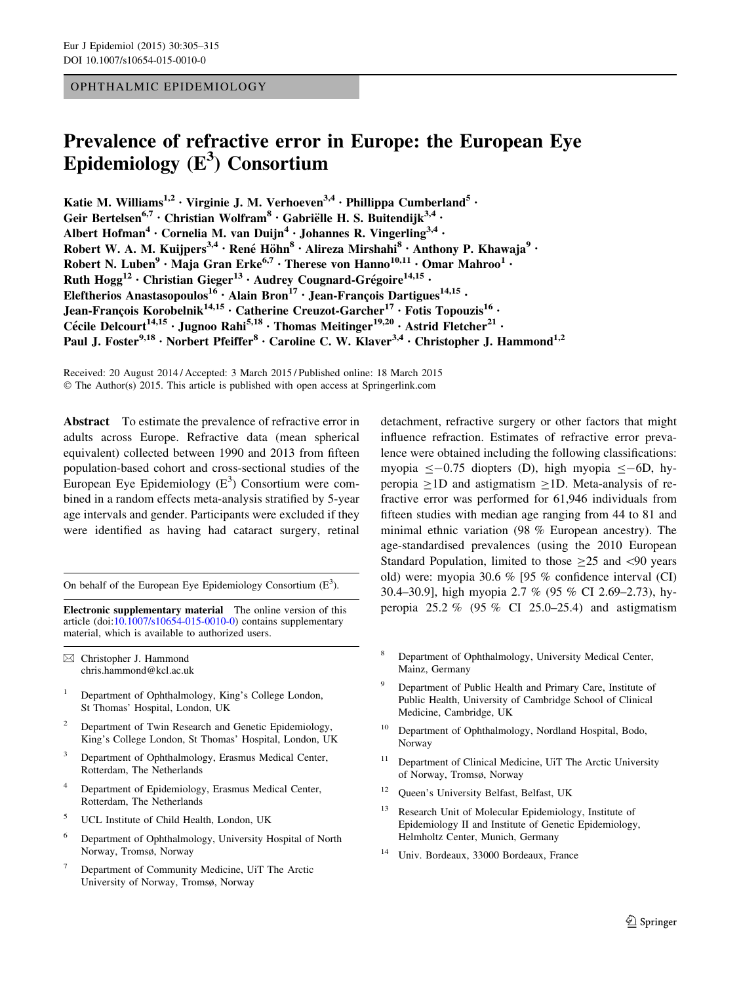## OPHTHALMIC EPIDEMIOLOGY

# Prevalence of refractive error in Europe: the European Eye Epidemiology  $(E^3)$  Consortium

Katie M. Williams<sup>1,2</sup> · Virginie J. M. Verhoeven<sup>3,4</sup> · Phillippa Cumberland<sup>5</sup> · Geir Bertelsen<sup>6,7</sup> · Christian Wolfram<sup>8</sup> · Gabriëlle H. S. Buitendijk<sup>3,4</sup> · Albert Hofman<sup>4</sup> · Cornelia M. van Duijn<sup>4</sup> · Johannes R. Vingerling<sup>3,4</sup> · Robert W. A. M. Kuijpers<sup>3,4</sup> · René Höhn $8 \cdot$  Alireza Mirshahi $8 \cdot$  Anthony P. Khawaja $9 \cdot$ Robert N. Luben<sup>9</sup> • Maja Gran Erke<sup>6,7</sup> • Therese von Hanno<sup>10,11</sup> • Omar Mahroo<sup>1</sup> • Ruth  $Hogg^{12}$  • Christian Gieger<sup>13</sup> • Audrey Cougnard-Grégoire<sup>14,15</sup> • Eleftherios Anastasopoulos<sup>16</sup> · Alain Bron<sup>17</sup> · Jean-François Dartigues<sup>14,15</sup> · Jean-Francois Korobelnik<sup>14,15</sup> • Catherine Creuzot-Garcher<sup>17</sup> • Fotis Topouzis<sup>16</sup> • Cécile Delcourt<sup>14,15</sup> • Jugnoo Rahi<sup>5,18</sup> • Thomas Meitinger<sup>19,20</sup> • Astrid Fletcher<sup>21</sup> • Paul J. Foster<sup>9,18</sup> • Norbert Pfeiffer<sup>8</sup> • Caroline C. W. Klaver<sup>3,4</sup> • Christopher J. Hammond<sup>1,2</sup>

Received: 20 August 2014 / Accepted: 3 March 2015 / Published online: 18 March 2015 © The Author(s) 2015. This article is published with open access at Springerlink.com

Abstract To estimate the prevalence of refractive error in adults across Europe. Refractive data (mean spherical equivalent) collected between 1990 and 2013 from fifteen population-based cohort and cross-sectional studies of the European Eye Epidemiology  $(E^3)$  Consortium were combined in a random effects meta-analysis stratified by 5-year age intervals and gender. Participants were excluded if they were identified as having had cataract surgery, retinal

On behalf of the European Eye Epidemiology Consortium  $(E^3)$ .

Electronic supplementary material The online version of this article (doi:[10.1007/s10654-015-0010-0\)](http://dx.doi.org/10.1007/s10654-015-0010-0) contains supplementary material, which is available to authorized users.

& Christopher J. Hammond chris.hammond@kcl.ac.uk

- <sup>1</sup> Department of Ophthalmology, King's College London, St Thomas' Hospital, London, UK
- Department of Twin Research and Genetic Epidemiology, King's College London, St Thomas' Hospital, London, UK
- <sup>3</sup> Department of Ophthalmology, Erasmus Medical Center, Rotterdam, The Netherlands
- <sup>4</sup> Department of Epidemiology, Erasmus Medical Center, Rotterdam, The Netherlands
- <sup>5</sup> UCL Institute of Child Health, London, UK
- <sup>6</sup> Department of Ophthalmology, University Hospital of North Norway, Tromsø, Norway
- <sup>7</sup> Department of Community Medicine, UiT The Arctic University of Norway, Tromsø, Norway

detachment, refractive surgery or other factors that might influence refraction. Estimates of refractive error prevalence were obtained including the following classifications: myopia  $\leq$  -0.75 diopters (D), high myopia  $\leq$  -6D, hyperopia  $\geq$ 1D and astigmatism  $\geq$ 1D. Meta-analysis of refractive error was performed for 61,946 individuals from fifteen studies with median age ranging from 44 to 81 and minimal ethnic variation (98 % European ancestry). The age-standardised prevalences (using the 2010 European Standard Population, limited to those  $\geq 25$  and  $\leq 90$  years old) were: myopia 30.6 % [95 % confidence interval (CI) 30.4–30.9], high myopia 2.7 % (95 % CI 2.69–2.73), hyperopia  $25.2 \%$  (95 % CI 25.0–25.4) and astigmatism

- <sup>8</sup> Department of Ophthalmology, University Medical Center, Mainz, Germany
- <sup>9</sup> Department of Public Health and Primary Care, Institute of Public Health, University of Cambridge School of Clinical Medicine, Cambridge, UK
- <sup>10</sup> Department of Ophthalmology, Nordland Hospital, Bodo, Norway
- Department of Clinical Medicine, UiT The Arctic University of Norway, Tromsø, Norway
- <sup>12</sup> Queen's University Belfast, Belfast, UK
- Research Unit of Molecular Epidemiology, Institute of Epidemiology II and Institute of Genetic Epidemiology, Helmholtz Center, Munich, Germany
- <sup>14</sup> Univ. Bordeaux, 33000 Bordeaux, France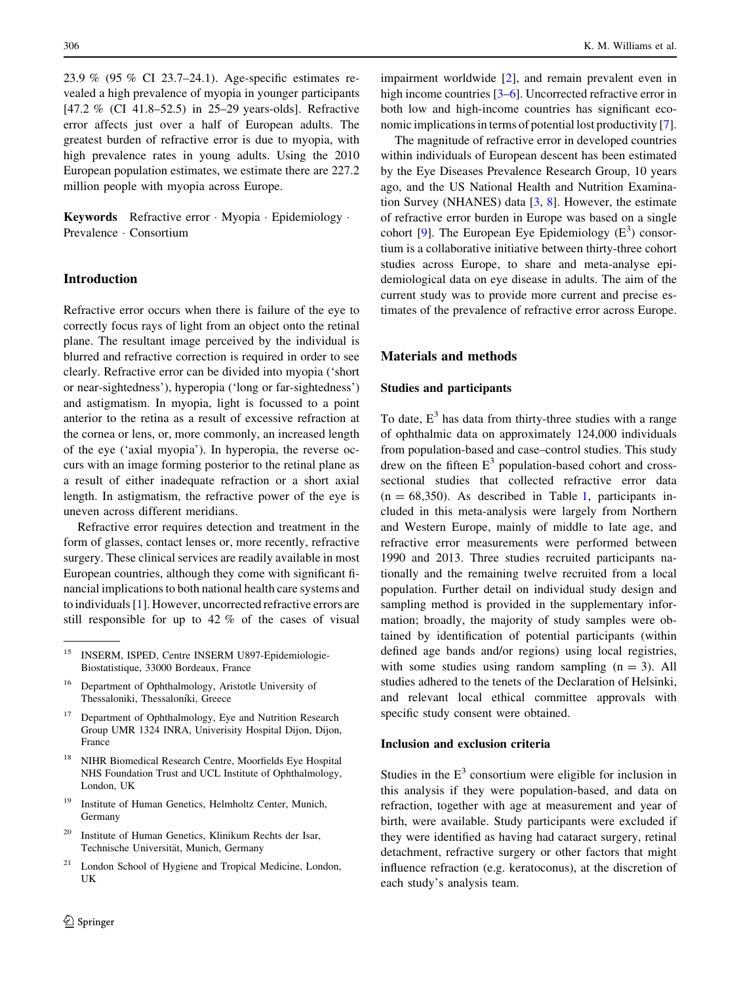23.9 % (95 % CI 23.7–24.1). Age-specific estimates revealed a high prevalence of myopia in younger participants [47.2 % (CI 41.8–52.5) in 25–29 years-olds]. Refractive error affects just over a half of European adults. The greatest burden of refractive error is due to myopia, with high prevalence rates in young adults. Using the 2010 European population estimates, we estimate there are 227.2 million people with myopia across Europe.

Keywords Refractive error · Myopia · Epidemiology · Prevalence - Consortium

# Introduction

Refractive error occurs when there is failure of the eye to correctly focus rays of light from an object onto the retinal plane. The resultant image perceived by the individual is blurred and refractive correction is required in order to see clearly. Refractive error can be divided into myopia ('short or near-sightedness'), hyperopia ('long or far-sightedness') and astigmatism. In myopia, light is focussed to a point anterior to the retina as a result of excessive refraction at the cornea or lens, or, more commonly, an increased length of the eye ('axial myopia'). In hyperopia, the reverse occurs with an image forming posterior to the retinal plane as a result of either inadequate refraction or a short axial length. In astigmatism, the refractive power of the eye is uneven across different meridians.

Refractive error requires detection and treatment in the form of glasses, contact lenses or, more recently, refractive surgery. These clinical services are readily available in most European countries, although they come with significant financial implications to both national health care systems and to individuals [[1\]](#page-10-0). However, uncorrected refractive errors are still responsible for up to 42 % of the cases of visual

- <sup>18</sup> NIHR Biomedical Research Centre, Moorfields Eye Hospital NHS Foundation Trust and UCL Institute of Ophthalmology, London, UK
- <sup>19</sup> Institute of Human Genetics, Helmholtz Center, Munich, Germany
- <sup>20</sup> Institute of Human Genetics, Klinikum Rechts der Isar, Technische Universität, Munich, Germany
- London School of Hygiene and Tropical Medicine, London, UK

impairment worldwide [[2\]](#page-10-0), and remain prevalent even in high income countries [[3–6\]](#page-10-0). Uncorrected refractive error in both low and high-income countries has significant economic implications in terms of potential lost productivity [\[7](#page-10-0)].

The magnitude of refractive error in developed countries within individuals of European descent has been estimated by the Eye Diseases Prevalence Research Group, 10 years ago, and the US National Health and Nutrition Examination Survey (NHANES) data [\[3](#page-10-0), [8\]](#page-10-0). However, the estimate of refractive error burden in Europe was based on a single cohort [[9\]](#page-10-0). The European Eye Epidemiology  $(E^3)$  consortium is a collaborative initiative between thirty-three cohort studies across Europe, to share and meta-analyse epidemiological data on eye disease in adults. The aim of the current study was to provide more current and precise estimates of the prevalence of refractive error across Europe.

# Materials and methods

## Studies and participants

To date,  $E<sup>3</sup>$  has data from thirty-three studies with a range of ophthalmic data on approximately 124,000 individuals from population-based and case–control studies. This study drew on the fifteen  $E<sup>3</sup>$  population-based cohort and crosssectional studies that collected refractive error data  $(n = 68,350)$ . As described in Table [1,](#page-3-0) participants included in this meta-analysis were largely from Northern and Western Europe, mainly of middle to late age, and refractive error measurements were performed between 1990 and 2013. Three studies recruited participants nationally and the remaining twelve recruited from a local population. Further detail on individual study design and sampling method is provided in the supplementary information; broadly, the majority of study samples were obtained by identification of potential participants (within defined age bands and/or regions) using local registries, with some studies using random sampling  $(n = 3)$ . All studies adhered to the tenets of the Declaration of Helsinki, and relevant local ethical committee approvals with specific study consent were obtained.

## Inclusion and exclusion criteria

Studies in the  $E<sup>3</sup>$  consortium were eligible for inclusion in this analysis if they were population-based, and data on refraction, together with age at measurement and year of birth, were available. Study participants were excluded if they were identified as having had cataract surgery, retinal detachment, refractive surgery or other factors that might influence refraction (e.g. keratoconus), at the discretion of each study's analysis team.

<sup>&</sup>lt;sup>15</sup> INSERM, ISPED, Centre INSERM U897-Epidemiologie-Biostatistique, 33000 Bordeaux, France

<sup>16</sup> Department of Ophthalmology, Aristotle University of Thessaloniki, Thessaloníki, Greece

<sup>&</sup>lt;sup>17</sup> Department of Ophthalmology, Eye and Nutrition Research Group UMR 1324 INRA, Univerisity Hospital Dijon, Dijon, France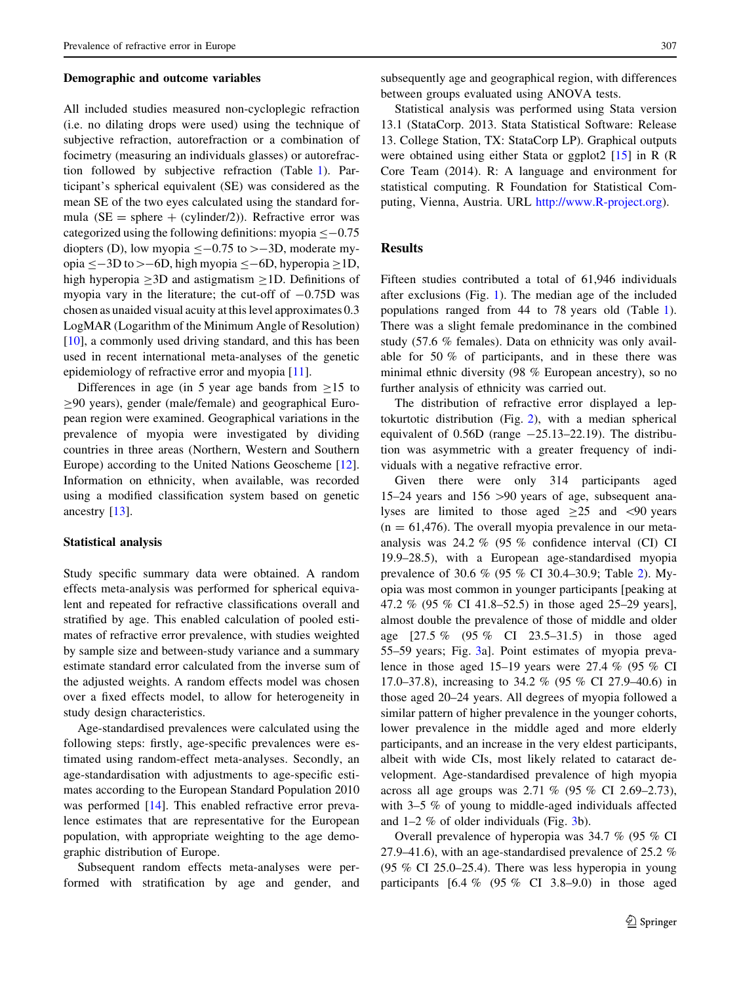#### Demographic and outcome variables

All included studies measured non-cycloplegic refraction (i.e. no dilating drops were used) using the technique of subjective refraction, autorefraction or a combination of focimetry (measuring an individuals glasses) or autorefraction followed by subjective refraction (Table [1\)](#page-3-0). Participant's spherical equivalent (SE) was considered as the mean SE of the two eyes calculated using the standard formula ( $SE$  = sphere + (cylinder/2)). Refractive error was categorized using the following definitions: myopia  $\leq$  -0.75 diopters (D), low myopia  $\leq -0.75$  to  $\geq -3D$ , moderate myopia  $\le$  -3D to > -6D, high myopia  $\le$  -6D, hyperopia  $\ge$ 1D, high hyperopia  $\geq$ 3D and astigmatism  $\geq$ 1D. Definitions of myopia vary in the literature; the cut-off of  $-0.75D$  was chosen as unaided visual acuity at this level approximates 0.3 LogMAR (Logarithm of the Minimum Angle of Resolution) [\[10](#page-10-0)], a commonly used driving standard, and this has been used in recent international meta-analyses of the genetic epidemiology of refractive error and myopia [\[11](#page-10-0)].

Differences in age (in 5 year age bands from  $\geq 15$  to  $>90$  years), gender (male/female) and geographical European region were examined. Geographical variations in the prevalence of myopia were investigated by dividing countries in three areas (Northern, Western and Southern Europe) according to the United Nations Geoscheme [\[12](#page-10-0)]. Information on ethnicity, when available, was recorded using a modified classification system based on genetic ancestry [\[13](#page-10-0)].

## Statistical analysis

Study specific summary data were obtained. A random effects meta-analysis was performed for spherical equivalent and repeated for refractive classifications overall and stratified by age. This enabled calculation of pooled estimates of refractive error prevalence, with studies weighted by sample size and between-study variance and a summary estimate standard error calculated from the inverse sum of the adjusted weights. A random effects model was chosen over a fixed effects model, to allow for heterogeneity in study design characteristics.

Age-standardised prevalences were calculated using the following steps: firstly, age-specific prevalences were estimated using random-effect meta-analyses. Secondly, an age-standardisation with adjustments to age-specific estimates according to the European Standard Population 2010 was performed [[14\]](#page-10-0). This enabled refractive error prevalence estimates that are representative for the European population, with appropriate weighting to the age demographic distribution of Europe.

Subsequent random effects meta-analyses were performed with stratification by age and gender, and

subsequently age and geographical region, with differences between groups evaluated using ANOVA tests.

Statistical analysis was performed using Stata version 13.1 (StataCorp. 2013. Stata Statistical Software: Release 13. College Station, TX: StataCorp LP). Graphical outputs were obtained using either Stata or ggplot2 [[15\]](#page-10-0) in R (R Core Team (2014). R: A language and environment for statistical computing. R Foundation for Statistical Computing, Vienna, Austria. URL <http://www.R-project.org>).

## **Results**

Fifteen studies contributed a total of 61,946 individuals after exclusions (Fig. [1\)](#page-5-0). The median age of the included populations ranged from 44 to 78 years old (Table [1](#page-3-0)). There was a slight female predominance in the combined study (57.6 % females). Data on ethnicity was only available for 50 % of participants, and in these there was minimal ethnic diversity (98 % European ancestry), so no further analysis of ethnicity was carried out.

The distribution of refractive error displayed a leptokurtotic distribution (Fig. [2](#page-5-0)), with a median spherical equivalent of  $0.56D$  (range  $-25.13-22.19$ ). The distribution was asymmetric with a greater frequency of individuals with a negative refractive error.

Given there were only 314 participants aged 15–24 years and  $156 > 90$  years of age, subsequent analyses are limited to those aged  $\geq 25$  and  $\leq 90$  years  $(n = 61,476)$ . The overall myopia prevalence in our metaanalysis was 24.2 % (95 % confidence interval (CI) CI 19.9–28.5), with a European age-standardised myopia prevalence of 30.6 % (95 % CI 30.4–30.9; Table [2\)](#page-6-0). Myopia was most common in younger participants [peaking at 47.2 % (95 % CI 41.8–52.5) in those aged 25–29 years], almost double the prevalence of those of middle and older age [27.5 % (95 % CI 23.5–31.5) in those aged 55–59 years; Fig. [3](#page-7-0)a]. Point estimates of myopia prevalence in those aged 15–19 years were 27.4 % (95 % CI 17.0–37.8), increasing to 34.2 % (95 % CI 27.9–40.6) in those aged 20–24 years. All degrees of myopia followed a similar pattern of higher prevalence in the younger cohorts, lower prevalence in the middle aged and more elderly participants, and an increase in the very eldest participants, albeit with wide CIs, most likely related to cataract development. Age-standardised prevalence of high myopia across all age groups was 2.71 % (95 % CI 2.69–2.73), with 3–5 % of young to middle-aged individuals affected and 1–2 % of older individuals (Fig. [3b](#page-7-0)).

Overall prevalence of hyperopia was 34.7 % (95 % CI 27.9–41.6), with an age-standardised prevalence of 25.2 % (95 % CI 25.0–25.4). There was less hyperopia in young participants  $[6.4 \% (95 \% CI 3.8-9.0)$  in those aged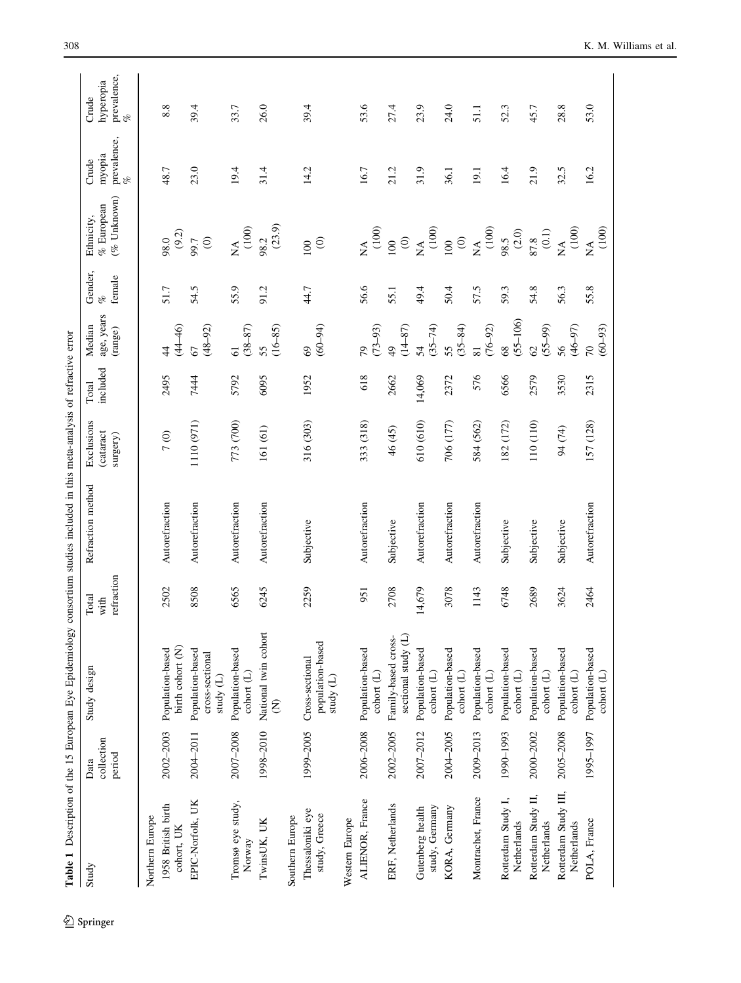$\underline{\textcircled{\tiny 2}}$  Springer

<span id="page-3-0"></span>

| Table 1 Description of the 15 European Eye Epidemiology |                              |                                                    |                             | consortium studies included in this meta-analysis of refractive error |                                    |                   |                                         |                              |                                                                                   |                                     |                                                                              |
|---------------------------------------------------------|------------------------------|----------------------------------------------------|-----------------------------|-----------------------------------------------------------------------|------------------------------------|-------------------|-----------------------------------------|------------------------------|-----------------------------------------------------------------------------------|-------------------------------------|------------------------------------------------------------------------------|
| Study                                                   | collection<br>period<br>Data | Study design                                       | refraction<br>Total<br>with | Refraction method                                                     | Exclusions<br>cataract<br>surgery) | included<br>Total | age, years<br>Median<br>(range)         | Gender,<br>female<br>of<br>C | $(\%$ Unknown)<br>$\%$ European<br>Ethnicity,                                     | prevalence,<br>%<br>myopia<br>Crude | prevalence,<br>$\frac{\sigma_{\rm c}}{\sigma_{\rm c}}$<br>hyperopia<br>Crude |
| Northern Europe                                         |                              |                                                    |                             |                                                                       |                                    |                   |                                         |                              |                                                                                   |                                     |                                                                              |
| 1958 British birth<br>cohort, UK                        | 2002-2003                    | birth cohort (N)<br>Population-based               | 2502                        | Autorefraction                                                        | 7(0)                               | 2495              | $(44 - 46)$<br>$\sharp$                 | 51.7                         | (9.2)<br>0.86                                                                     | 48.7                                | 8.8                                                                          |
| EPIC-Norfolk, UK                                        | 2004-2011                    | Population-based<br>cross-sectional<br>study $(L)$ | 8508                        | Autorefraction                                                        | 1110 (971)                         | 7444              | $(48 - 92)$<br>67                       | 54.5                         | 99.7<br>(0)                                                                       | 23.0                                | 39.4                                                                         |
| Tromsø eye study,<br>Norway                             | 2007-2008                    | Population-based<br>cohort $(L)$                   | 6565                        | Autorefraction                                                        | 773 (700)                          | 5792              | $(38 - 87)$<br>$\overline{6}$           | 55.9                         | (100)<br>$\mathbb{A}^{\mathbb{A}}$                                                | 19.4                                | 33.7                                                                         |
| TwinsUK, UK                                             | 1998-2010                    | National twin cohort<br>$\widehat{\epsilon}$       | 6245                        | Autorefraction                                                        | 161 (61)                           | 6095              | $(16 - 85)$<br>55                       | 91.2                         | (23.9)<br>98.2                                                                    | 31.4                                | 26.0                                                                         |
| Southern Europe                                         |                              |                                                    |                             |                                                                       |                                    |                   |                                         |                              |                                                                                   |                                     |                                                                              |
| Thessaloniki eye<br>study, Greece                       | 1999-2005                    | population-based<br>Cross-sectional<br>study (L)   | 2259                        | Subjective                                                            | 316 (303)                          | 1952              | $(60 - 94)$<br>$\Im$                    | 44.7                         | $\mathfrak{S}$<br>100                                                             | 14.2                                | 39.4                                                                         |
| Western Europe                                          |                              |                                                    |                             |                                                                       |                                    |                   |                                         |                              |                                                                                   |                                     |                                                                              |
| ALIENOR, France                                         | 2006-2008                    | Population-based<br>cohort (L)                     | 951                         | Autorefraction                                                        | 333 (318)                          | 618               | $(73 - 93)$<br>2                        | 56.6                         |                                                                                   | 16.7                                | 53.6                                                                         |
| ERF, Netherlands                                        | 2002-2005                    | sectional study (L)<br>Family-based cross-         | 2708                        | Subjective                                                            | 46 (45)                            | 2662              | $(14 - 87)$<br>$\frac{1}{2}$            | 55.1                         |                                                                                   | 21.2                                | 27.4                                                                         |
| study, Germany<br>Gutenberg health                      | 2007-2012                    | Population-based<br>cohort $(L)$                   | 14,679                      | Autorefraction                                                        | 610 (610)                          | 14,069            | $(35 - 74)$<br>54                       | 49.4                         |                                                                                   | 31.9                                | 23.9                                                                         |
| KORA, Germany                                           | 2004-2005                    | Population-based<br>cohort (L)                     | 3078                        | Autorefraction                                                        | 706 (177)                          | 2372              | $(35 - 84)$<br>55                       | 50.4                         |                                                                                   | 36.1                                | 24.0                                                                         |
| Montrachet, France                                      | 2009-2013                    | Population-based<br>cohort $(L)$                   | 1143                        | Autorefraction                                                        | 584 (562)                          | 576               | $(76 - 92)$<br>$\overline{\phantom{0}}$ | 57.5                         | $M_{A}$<br>(100)<br>100 (100)<br>100 (100)<br>100 (100)<br>200 (100)<br>200 (101) | 19.1                                | 51.1                                                                         |
| Rotterdam Study I,<br>Netherlands                       | 1990-1993                    | Population-based<br>cohort $(\mathbb{L})$          | 6748                        | Subjective                                                            | 182 (172)                          | 6566              | $(55 - 106)$<br>68                      | 59.3                         |                                                                                   | 16.4                                | 52.3                                                                         |
| Rotterdam Study II,<br>Netherlands                      | 2000-2002                    | Population-based<br>cohort $(L)$                   | 2689                        | Subjective                                                            | 110 (110)                          | 2579              | $62$<br>(55–99)                         | 54.8                         |                                                                                   | 21.9                                | 45.7                                                                         |
| Rotterdam Study III,<br>Netherlands                     | 2005-2008                    | Population-based<br>cohort (L)                     | 3624                        | Subjective                                                            | 94 (74)                            | 3530              | $(46 - 97)$<br>56                       | 56.3                         | (100)<br>$\mathbb{R}^{\mathbb{A}}$                                                | 32.5                                | 28.8                                                                         |
| POLA, France                                            | 1995-1997                    | Population-based<br>cohort (L)                     | 2464                        | Autorefraction                                                        | 157 (128)                          | 2315              | $(60 - 93)$<br>$\overline{0}$           | 55.8                         | NA<br>(100)                                                                       | 16.2                                | 53.0                                                                         |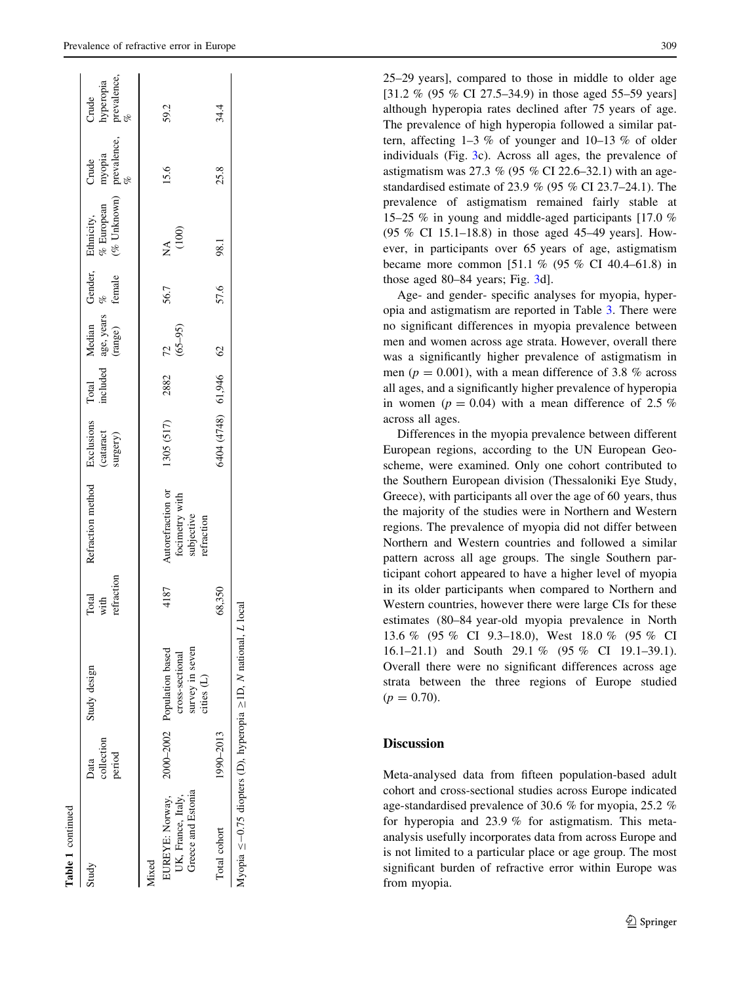| Table 1 continued                                                    |                              |                                               |                             |                                            |                                     |                   |                                                     |      |                                                                             |      |                                        |
|----------------------------------------------------------------------|------------------------------|-----------------------------------------------|-----------------------------|--------------------------------------------|-------------------------------------|-------------------|-----------------------------------------------------|------|-----------------------------------------------------------------------------|------|----------------------------------------|
| Study                                                                | collection<br>period<br>Data | Study design                                  | refraction<br>Total<br>with | Refraction method                          | Exclusions<br>(cataract<br>surgery) | included<br>Total | Median Gender,<br>age, years $\%$<br>(range) female |      | Ethnicity, Crude C<br>% European myopia h<br>(% Unknown) prevalence, p<br>% |      | Crude<br>hyperopia<br>prevalence,<br>% |
| EUREYE: Norway,<br>UK, France, Italy,<br>Mixed                       |                              | 2000-2002 Population based<br>cross-sectional | 4187                        | Autorefraction or                          | 1305 (517)                          | 2882              | $\frac{72}{(65-95)}$                                | 56.7 | (100)<br>∕k<br>Z                                                            | 15.6 | 59.2                                   |
| Greece and Estonia<br>Total cohort                                   | 1990-2013                    | survey in seven<br>cities (L)                 | 68,350                      | focimetry with<br>subjective<br>refraction | 6404 (4748) 61,946 62               |                   |                                                     | 57.6 | 98.1                                                                        | 25.8 | 34.4                                   |
| Myopia $\leq$ -0.75 diopters (D), hyperopia $\geq$ 1D, N national, L |                              |                                               | local                       |                                            |                                     |                   |                                                     |      |                                                                             |      |                                        |

25–29 years], compared to those in middle to older age [31.2 % (95 % CI 27.5–34.9) in those aged 55–59 years] although hyperopia rates declined after 75 years of age. The prevalence of high hyperopia followed a similar pattern, affecting  $1-3$  % of younger and  $10-13$  % of older individuals (Fig. [3c](#page-7-0)). Across all ages, the prevalence of astigmatism was 27.3 % (95 % CI 22.6–32.1) with an agestandardised estimate of 23.9 % (95 % CI 23.7–24.1). The prevalence of astigmatism remained fairly stable at 15–25 % in young and middle-aged participants [17.0 % (95 % CI 15.1–18.8) in those aged 45–49 years]. However, in participants over 65 years of age, astigmatism became more common [51.1 % (95 % CI 40.4–61.8) in those aged 80–84 years; Fig. [3](#page-7-0)d].

Age- and gender- specific analyses for myopia, hyperopia and astigmatism are reported in Table [3](#page-8-0). There were no significant differences in myopia prevalence between men and women across age strata. However, overall there was a significantly higher prevalence of astigmatism in men ( $p = 0.001$ ), with a mean difference of 3.8 % across all ages, and a significantly higher prevalence of hyperopia in women ( $p = 0.04$ ) with a mean difference of 2.5 % across all ages.

Differences in the myopia prevalence between different European regions, according to the UN European Geoscheme, were examined. Only one cohort contributed to the Southern European division (Thessaloniki Eye Study, Greece), with participants all over the age of 60 years, thus the majority of the studies were in Northern and Western regions. The prevalence of myopia did not differ between Northern and Western countries and followed a similar pattern across all age groups. The single Southern participant cohort appeared to have a higher level of myopia in its older participants when compared to Northern and Western countries, however there were large CIs for these estimates (80–84 year-old myopia prevalence in North 13.6 % (95 % CI 9.3–18.0), West 18.0 % (95 % CI 16.1–21.1) and South 29.1 % (95 % CI 19.1–39.1). Overall there were no significant differences across age strata between the three regions of Europe studied  $(p = 0.70)$ .

# **Discussion**

Meta-analysed data from fifteen population-based adult cohort and cross-sectional studies across Europe indicated age-standardised prevalence of 30.6 % for myopia, 25.2 % for hyperopia and 23.9 % for astigmatism. This metaanalysis usefully incorporates data from across Europe and is not limited to a particular place or age group. The most significant burden of refractive error within Europe was from myopia.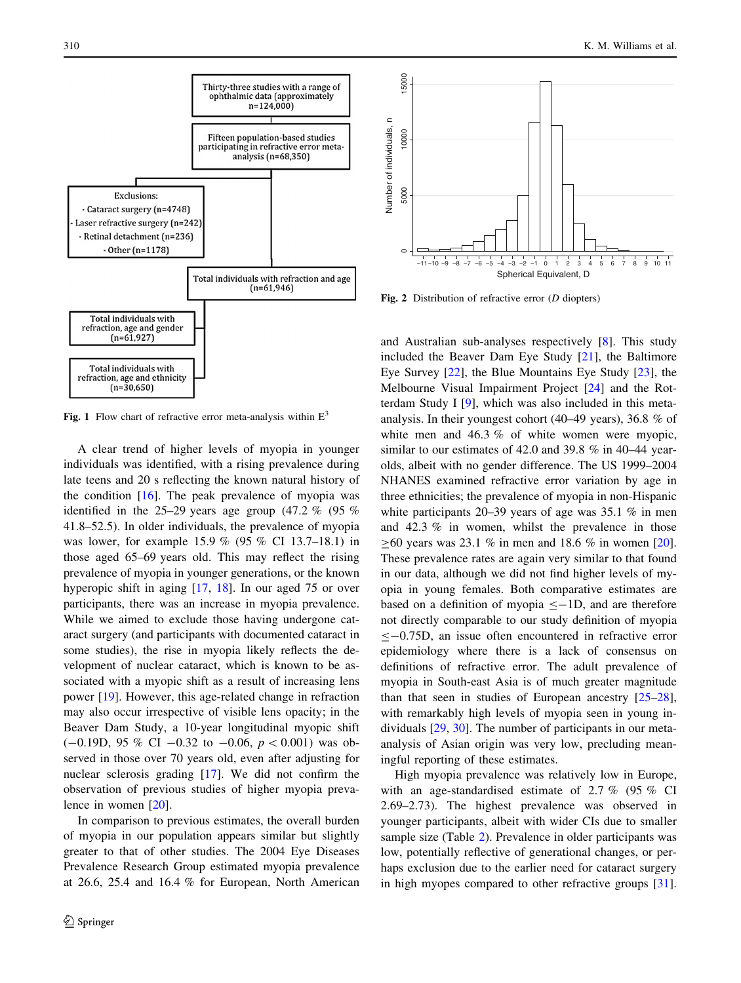<span id="page-5-0"></span>

Fig. 1 Flow chart of refractive error meta-analysis within  $E<sup>3</sup>$ 

A clear trend of higher levels of myopia in younger individuals was identified, with a rising prevalence during late teens and 20 s reflecting the known natural history of the condition [[16\]](#page-10-0). The peak prevalence of myopia was identified in the 25–29 years age group  $(47.2 \% (95\%)$ 41.8–52.5). In older individuals, the prevalence of myopia was lower, for example 15.9 % (95 % CI 13.7–18.1) in those aged 65–69 years old. This may reflect the rising prevalence of myopia in younger generations, or the known hyperopic shift in aging [\[17](#page-10-0), [18\]](#page-10-0). In our aged 75 or over participants, there was an increase in myopia prevalence. While we aimed to exclude those having undergone cataract surgery (and participants with documented cataract in some studies), the rise in myopia likely reflects the development of nuclear cataract, which is known to be associated with a myopic shift as a result of increasing lens power [\[19](#page-10-0)]. However, this age-related change in refraction may also occur irrespective of visible lens opacity; in the Beaver Dam Study, a 10-year longitudinal myopic shift  $(-0.19D, 95\% \text{ CI} -0.32 \text{ to } -0.06, p<0.001)$  was observed in those over 70 years old, even after adjusting for nuclear sclerosis grading [\[17](#page-10-0)]. We did not confirm the observation of previous studies of higher myopia prevalence in women [[20\]](#page-10-0).

In comparison to previous estimates, the overall burden of myopia in our population appears similar but slightly greater to that of other studies. The 2004 Eye Diseases Prevalence Research Group estimated myopia prevalence at 26.6, 25.4 and 16.4 % for European, North American



Fig. 2 Distribution of refractive error  $(D \text{ diopters})$ 

and Australian sub-analyses respectively [\[8](#page-10-0)]. This study included the Beaver Dam Eye Study [[21\]](#page-10-0), the Baltimore Eye Survey [\[22](#page-10-0)], the Blue Mountains Eye Study [[23\]](#page-10-0), the Melbourne Visual Impairment Project [[24\]](#page-10-0) and the Rotterdam Study I [\[9](#page-10-0)], which was also included in this metaanalysis. In their youngest cohort (40–49 years), 36.8 % of white men and 46.3 % of white women were myopic, similar to our estimates of 42.0 and 39.8 % in 40–44 yearolds, albeit with no gender difference. The US 1999–2004 NHANES examined refractive error variation by age in three ethnicities; the prevalence of myopia in non-Hispanic white participants 20–39 years of age was 35.1 % in men and 42.3 % in women, whilst the prevalence in those  $\geq 60$  years was 23.1 % in men and 18.6 % in women [\[20](#page-10-0)]. These prevalence rates are again very similar to that found in our data, although we did not find higher levels of myopia in young females. Both comparative estimates are based on a definition of myopia  $\leq$ -1D, and are therefore not directly comparable to our study definition of myopia  $\leq$  -0.75D, an issue often encountered in refractive error epidemiology where there is a lack of consensus on definitions of refractive error. The adult prevalence of myopia in South-east Asia is of much greater magnitude than that seen in studies of European ancestry [\[25–28](#page-10-0)], with remarkably high levels of myopia seen in young individuals [[29,](#page-10-0) [30](#page-10-0)]. The number of participants in our metaanalysis of Asian origin was very low, precluding meaningful reporting of these estimates.

High myopia prevalence was relatively low in Europe, with an age-standardised estimate of 2.7 % (95 % CI 2.69–2.73). The highest prevalence was observed in younger participants, albeit with wider CIs due to smaller sample size (Table [2](#page-6-0)). Prevalence in older participants was low, potentially reflective of generational changes, or perhaps exclusion due to the earlier need for cataract surgery in high myopes compared to other refractive groups [\[31](#page-10-0)].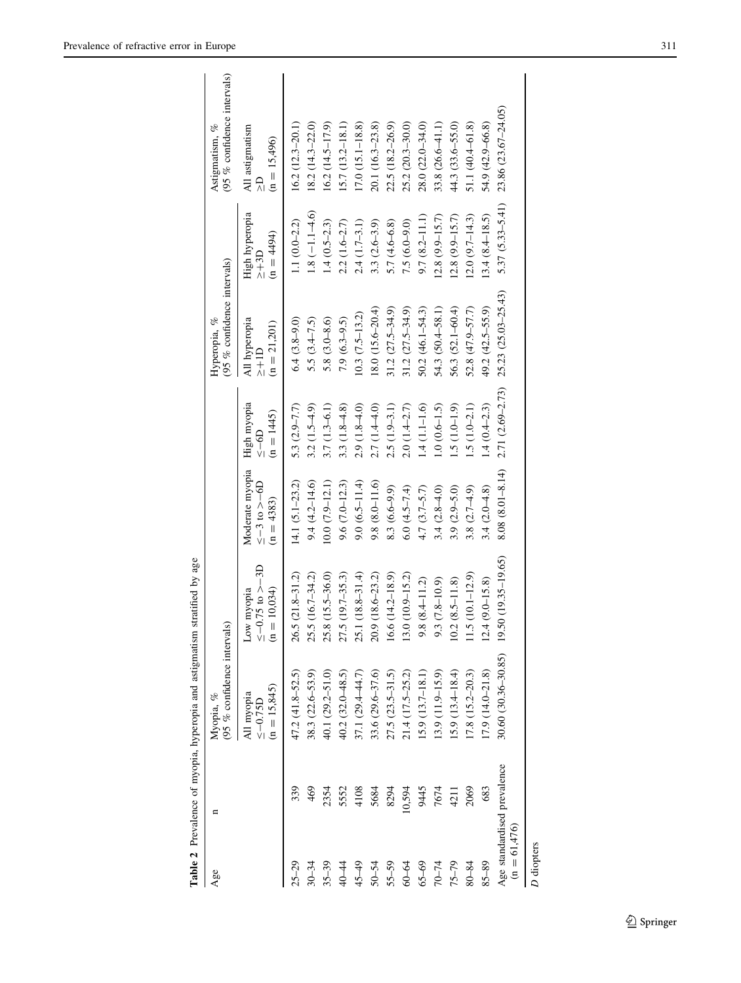<span id="page-6-0"></span>

|                                               |        | Table 2 Prevalence of myopia, hyperopia and astigmatism stratified by age |                                                      |                                                         |                                            |                                                  |                                              |                                                       |
|-----------------------------------------------|--------|---------------------------------------------------------------------------|------------------------------------------------------|---------------------------------------------------------|--------------------------------------------|--------------------------------------------------|----------------------------------------------|-------------------------------------------------------|
| Age                                           | n      | (95 % confidence intervals<br>Myopia, %                                   |                                                      |                                                         |                                            | (95 % confidence intervals)<br>Hyperopia, %      |                                              | (95 % confidence intervals)<br>Astigmatism, %         |
|                                               |        | $(n = 15,845)$<br>All myopia<br>$\leq -0.75D$                             | $\leq$ –0.75 to >−3D<br>$(n = 10,034)$<br>Low myopia | Moderate myopia<br>$\leq -3$ to $>$ -6D<br>$(n = 4383)$ | High myopia<br>$(n = 1445)$<br>$rac{1}{2}$ | All hyperopia<br>$(n = 21,201)$<br>$\frac{1}{2}$ | High hyperopia<br>$(n = 4494)$<br>$\geq +3D$ | All astigmatism<br>$(n = 15,496)$<br>$\sum_{\lambda}$ |
| $25 - 29$                                     | 339    | $47.2(41.8 - 52.5)$                                                       | $(21.8 - 31.2)$<br>26.5                              | 14.1 $(5.1 - 23.2)$                                     | 5.3 $(2.9 - 7.7)$                          | $6.4(3.8-9.0)$                                   | $1.1(0.0 - 2.2)$                             | $16.2(12.3-20.1)$                                     |
| $30 - 34$                                     | 469    | $38.3(22.6 - 53.9)$                                                       | $(16.7 - 34.2)$<br>25.5                              | $9.4(4.2 - 14.6)$                                       | $3.2(1.5-4.9)$                             | 5.5 $(3.4 - 7.5)$                                | $1.8(-1.1-4.6)$                              | $18.2(14.3 - 22.0)$                                   |
| $35 - 39$                                     | 2354   | 40.1 $(29.2 - 51.0)$                                                      | $(15.5 - 36.0)$<br>25.8                              | $10.0(7.9-12.1)$                                        | $3.7(1.3-6.1)$                             | $5.8(3.0 - 8.6)$                                 | $1.4(0.5-2.3)$                               | $16.2(14.5-17.9)$                                     |
| 40-44                                         | 5552   | $40.2(32.0 - 48.5)$                                                       | $(19.7 - 35.3)$<br>27.5                              | $9.6(7.0-12.3)$                                         | 3.3 $(1.8-4.8)$                            | $7.9(6.3-9.5)$                                   | $2.2(1.6-2.7)$                               | $15.7(13.2 - 18.1)$                                   |
| $45 - 49$                                     | 4108   | 37.1 (29.4-44.7)                                                          | $(18.8 - 31.4)$<br>25.1                              | $9.0(6.5 - 11.4)$                                       | $2.9(1.8-4.0)$                             | $(0.3 (7.5 - 13.2))$                             | $2.4(1.7-3.1)$                               | $17.0(15.1 - 18.8)$                                   |
| 50-54                                         | 5684   | $33.6(29.6 - 37.6)$                                                       | $(18.6 - 23.2)$<br>20.9                              | $9.8(8.0 - 11.6)$                                       | 2.7 (1.4-4.0)                              | $8.0(15.6-20.4)$                                 | 3.3 $(2.6-3.9)$                              | 20.1 (16.3-23.8)                                      |
| $55 - 59$                                     | 8294   | $27.5(23.5-31.5)$                                                         | $(14.2 - 18.9)$<br>16.6                              | $8.3(6.6-9.9)$                                          | $2.5(1.9-3.1)$                             | $31.2(27.5 - 34.9)$                              | $5.7(4.6-6.8)$                               | 22.5 (18.2-26.9)                                      |
| 60-64                                         | 10,594 | $21.4(17.5-25.2)$                                                         | $(10.9 - 15.2)$<br>13.0                              | $6.0(4.5-7.4)$                                          | $2.0(1.4 - 2.7)$                           | $31.2(27.5 - 34.9)$                              | $7.5(6.0-9.0)$                               | 25.2 (20.3-30.0)                                      |
| $65 - 69$                                     | 9445   | $15.9(13.7 - 18.1)$                                                       | $(8.4 - 11.2)$<br>9.8                                | $4.7 (3.7 - 5.7)$                                       | $1.4(1.1-1.6)$                             | $50.2(46.1 - 54.3)$                              | $9.7(8.2 - 11.1)$                            | 28.0 (22.0-34.0)                                      |
| $70 - 74$                                     | 7674   | $[3.9(11.9-15.9)]$                                                        | $(7.8 - 10.9)$<br>9.3                                | $3.4(2.8-4.0)$                                          | $1.0(0.6-1.5)$                             | 54.3 (50.4–58.1)                                 | $(2.8(9.9-15.7))$                            | 33.8 (26.6-41.1)                                      |
| $75 - 79$                                     | 4211   | $15.9(13.4 - 18.4)$                                                       | $(8.5 - 11.8)$<br>10.2                               | 3.9 $(2.9 - 5.0)$                                       | $1.5(1.0-1.9)$                             | 56.3 (52.1-60.4)                                 | $(2.8(9.9-15.7))$                            | 44.3 (33.6–55.0)                                      |
| 80-84                                         | 2069   | $(7.8 \ (15.2 - 20.3))$                                                   | $(10.1 - 12.9)$<br>1.5                               | 3.8 $(2.7 - 4.9)$                                       | $1.5(1.0-2.1)$                             | $52.8(47.9 - 57.7)$                              | $(2.0 (9.7 - 14.3))$                         | 51.1 $(40.4-61.8)$                                    |
| 85-89                                         | 683    | $17.9(14.0 - 21.8)$                                                       | $(9.0 - 15.8)$<br>12.4                               | 3.4 $(2.0 - 4.8)$                                       | $1.4(0.4-2.3)$                             | 49.2 (42.5–55.9)                                 | $13.4(8.4 - 18.5)$                           | 54.9 (42.9-66.8)                                      |
| Age standardised prevalence<br>$(n = 61,476)$ |        | $30.60(30.36 - 30.85)$                                                    | $19.50(19.35-19.65)$                                 | $8.08(8.01 - 8.14)$                                     | 2.71 (2.69-2.73)                           | $25.23(25.03 - 25.43)$                           | $5.37(5.33 - 5.41)$                          | 23.86 (23.67-24.05)                                   |
| D diopters                                    |        |                                                                           |                                                      |                                                         |                                            |                                                  |                                              |                                                       |

Table 2 Prevalence of myopia, hyperopia and astigmatism stratified by age

 $\underline{\textcircled{\tiny 2}}$  Springer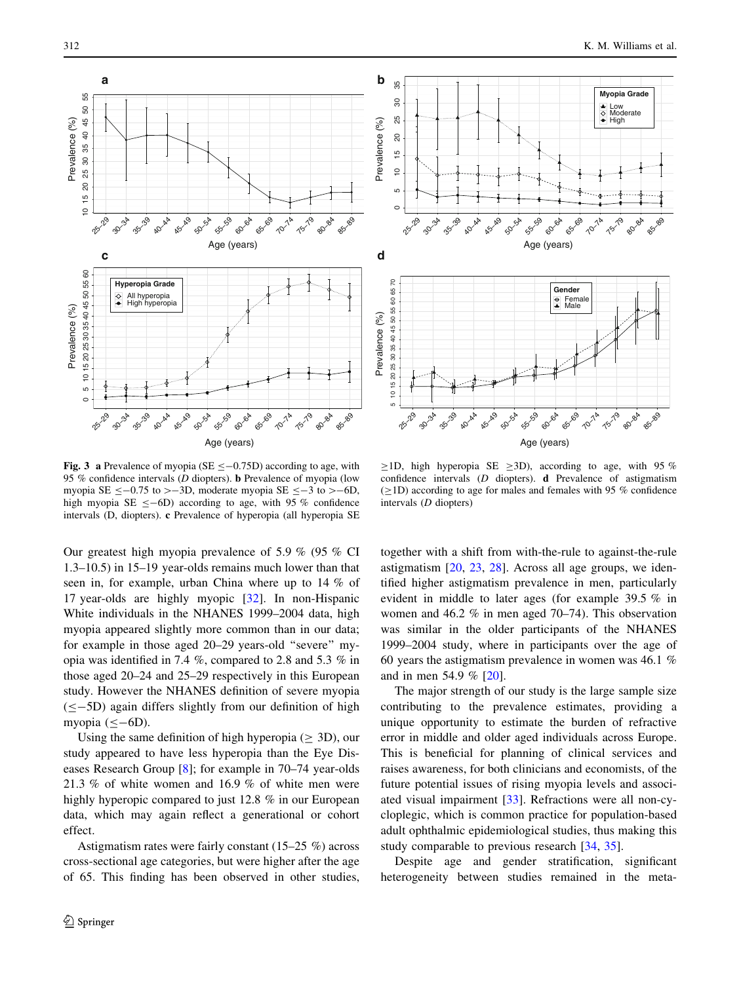<span id="page-7-0"></span>



Fig. 3 a Prevalence of myopia (SE  $\leq$  -0.75D) according to age, with 95 % confidence intervals (D diopters). b Prevalence of myopia (low myopia SE  $\leq$  -0.75 to > -3D, moderate myopia SE  $\leq$  -3 to > -6D, high myopia SE  $\leq$ -6D) according to age, with 95 % confidence intervals (D, diopters). c Prevalence of hyperopia (all hyperopia SE

Our greatest high myopia prevalence of 5.9 % (95 % CI 1.3–10.5) in 15–19 year-olds remains much lower than that seen in, for example, urban China where up to 14 % of 17 year-olds are highly myopic [\[32](#page-10-0)]. In non-Hispanic White individuals in the NHANES 1999–2004 data, high myopia appeared slightly more common than in our data; for example in those aged 20–29 years-old ''severe'' myopia was identified in 7.4 %, compared to 2.8 and 5.3 % in those aged 20–24 and 25–29 respectively in this European study. However the NHANES definition of severe myopia  $(< -5D$ ) again differs slightly from our definition of high myopia  $(\leq -6D)$ .

Using the same definition of high hyperopia ( $\geq$  3D), our study appeared to have less hyperopia than the Eye Diseases Research Group [[8\]](#page-10-0); for example in 70–74 year-olds 21.3 % of white women and 16.9 % of white men were highly hyperopic compared to just 12.8 % in our European data, which may again reflect a generational or cohort effect.

Astigmatism rates were fairly constant (15–25 %) across cross-sectional age categories, but were higher after the age of 65. This finding has been observed in other studies,

 $\geq$ 1D, high hyperopia SE  $\geq$ 3D), according to age, with 95 % confidence intervals (D diopters). d Prevalence of astigmatism  $(\geq1D)$  according to age for males and females with 95 % confidence intervals (D diopters)

together with a shift from with-the-rule to against-the-rule astigmatism [\[20](#page-10-0), [23](#page-10-0), [28\]](#page-10-0). Across all age groups, we identified higher astigmatism prevalence in men, particularly evident in middle to later ages (for example 39.5 % in women and 46.2 % in men aged 70–74). This observation was similar in the older participants of the NHANES 1999–2004 study, where in participants over the age of 60 years the astigmatism prevalence in women was 46.1 % and in men 54.9 % [\[20](#page-10-0)].

The major strength of our study is the large sample size contributing to the prevalence estimates, providing a unique opportunity to estimate the burden of refractive error in middle and older aged individuals across Europe. This is beneficial for planning of clinical services and raises awareness, for both clinicians and economists, of the future potential issues of rising myopia levels and associated visual impairment [\[33](#page-10-0)]. Refractions were all non-cycloplegic, which is common practice for population-based adult ophthalmic epidemiological studies, thus making this study comparable to previous research [\[34](#page-10-0), [35\]](#page-10-0).

Despite age and gender stratification, significant heterogeneity between studies remained in the meta-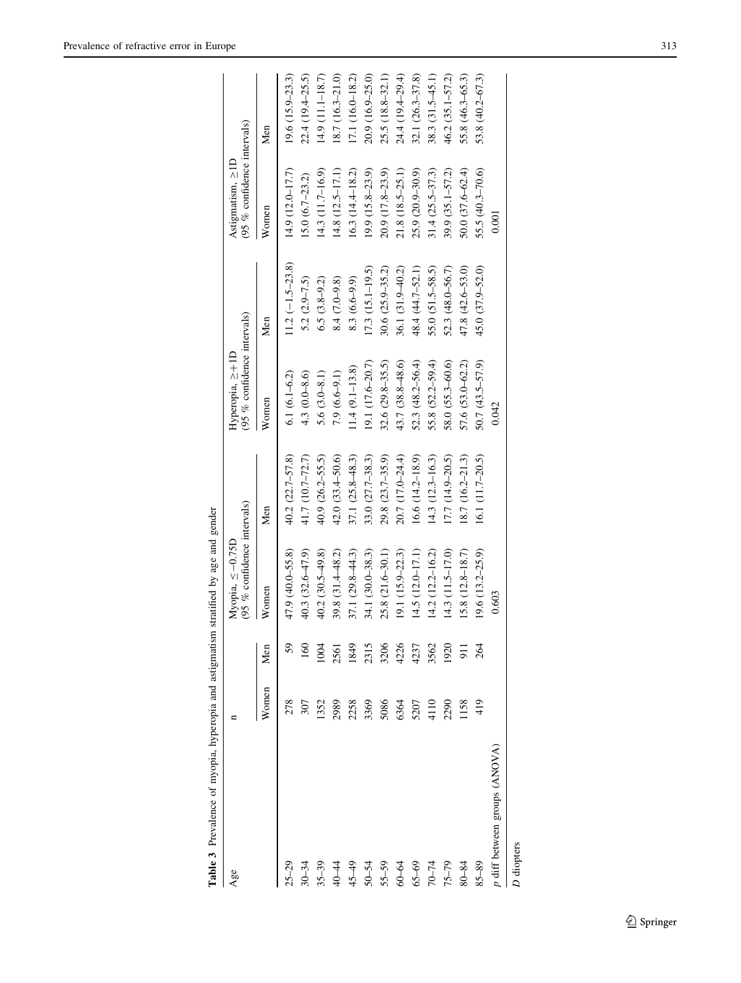<span id="page-8-0"></span>

| 196                                                                                                                      |                                                                                                                                  | (95 % confidence intervals)<br>Myopia, $\leq -0.75D$ |                     | (95 % confidence intervals)<br>Hyperopia, $\geq +1D$ |                      | (95 % confidence intervals)<br>Astigmatism, $\geq$ ID |                     |
|--------------------------------------------------------------------------------------------------------------------------|----------------------------------------------------------------------------------------------------------------------------------|------------------------------------------------------|---------------------|------------------------------------------------------|----------------------|-------------------------------------------------------|---------------------|
|                                                                                                                          | Women Men                                                                                                                        | Women                                                | Men                 | Women                                                | Men                  | Women                                                 | Men                 |
| $5 - 29$                                                                                                                 | $\begin{array}{ l l } \hline \rule{0pt}{2.2ex} \pi\end{array}$ and a second second<br>management of the second second $\uparrow$ | 47.9 (40.0-55.8)                                     | $40.2(22.7 - 57.8)$ | $6.1(6.1 - 6.2)$                                     | $11.2 (-1.5 - 23.8)$ | 14.9 (12.0-17.7)                                      | $19.6(15.9-23.3)$   |
|                                                                                                                          |                                                                                                                                  | 40.3 (32.6-47.9)                                     | 41.7 (10.7–72.7)    | $4.3(0.0 - 8.6)$                                     | $5.2(2.9-7.5)$       | $15.0(6.7-23.2)$                                      | $22.4(19.4-25.5)$   |
|                                                                                                                          |                                                                                                                                  | $40.2(30.5-49.8)$                                    | $40.9(26.2 - 55.5)$ | 5.6 $(3.0 - 8.1)$                                    | $6.5(3.8-9.2)$       | 14.3 (11.7-16.9)                                      | 14.9 (11.1-18.7)    |
|                                                                                                                          |                                                                                                                                  | 39.8 (31.4-48.2)                                     | $42.0(33.4 - 50.6)$ | $7.9(6.6-9.1)$                                       | 8.4 (7.0-9.8)        | $14.8(12.5 - 17.1)$                                   | 18.7 (16.3-21.0)    |
|                                                                                                                          |                                                                                                                                  | 37.1 $(29.8 - 44.3)$                                 | $37.1(25.8-48.3)$   | $11.4 (9.1 - 13.8)$                                  | $8.3(6.6-9.9)$       | $16.3(14.4 - 18.2)$                                   | 17.1 (16.0-18.2)    |
|                                                                                                                          |                                                                                                                                  | 34.1 (30.0-38.3)                                     | $33.0(27.7 - 38.3)$ | 19.1 (17.6-20.7)                                     | 17.3 (15.1-19.5)     | $19.9(15.8-23.9)$                                     | 20.9 (16.9-25.0)    |
| $30-34$<br>$35-39$<br>$49$<br>$49$<br>$45-39$<br>$49$<br>$50-54$<br>$50$<br>$50$<br>$50$<br>$50$<br>$50$<br>$50$<br>$50$ |                                                                                                                                  | 25.8 (21.6-30.1)                                     | $29.8(23.7-35.9)$   | $32.6 (29.8 - 35.5)$                                 | $30.6(25.9 - 35.2)$  | $20.9(17.8-23.9)$                                     | $25.5(18.8-32.1)$   |
|                                                                                                                          |                                                                                                                                  | $19.1(15.9 - 22.3)$                                  | 20.7 (17.0-24.4)    | 43.7 (38.8-48.6)                                     | 36.1 (31.9-40.2)     | $21.8(18.5-25.1)$                                     | 24.4 (19.4-29.4)    |
|                                                                                                                          |                                                                                                                                  | 14.5 (12.0-17.1)                                     | $16.6(14.2 - 18.9)$ | 52.3 $(48.2 - 56.4)$                                 | 48.4 (44.7-52.1)     | 25.9 (20.9-30.9)                                      | $32.1(26.3 - 37.8)$ |
|                                                                                                                          |                                                                                                                                  | $14.2(12.2 - 16.2)$                                  | $14.3(12.3 - 16.3)$ | 55.8 (52.2-59.4)                                     | 55.0 (51.5–58.5)     | $31.4(25.5 - 37.3)$                                   | 38.3 (31.5-45.1)    |

75–79 2290 1920 14.3 (11.5–17.0) 17.7 (14.9–20.5) 58.0 (55.3–60.6) 52.3 (48.0–56.7) 39.9 (35.1–57.2) 46.2 (35.1–57.2)  $80-84$  115.8  $(12.8-18.7)$  18.7 (16.2–21.3) 57.6 (53.0–62.2) 57.6 (53.0–62.2) 47.8 (47.6–53.0) 50.0 (37.6–62.4) 55.8 (46.3–65.3) 85–89 419 264 19.6 (13.2–25.9) 16.1 (11.7–20.5) 50.7 (43.5–57.9) 45.0 (37.9–52.0) 55.5 (40.3–70.6) 53.8 (40.2–67.3)

 $17.7(14.9-20.5)$ 18.7 (16.2-21.3) 16.1 (11.7-20.5)

 $14.3(11.5-17.0)$  $15.8(12.8-18.7)$  $19.6(13.2-25.9)$ 

1920 911 264

2290 1158 419

58.0 (55.3-60.6) 57.6 (53.0-62.2)  $50.7(43.5 - 57.9)$  $0.042$ 

46.2 (35.1-57.2) 55.8 (46.3-65.3) 53.8 (40.2-67.3)

39.9 (35.1-57.2)  $50.0 (37.6 - 62.4)$ 55.5 (40.3-70.6) 0.001

52.3 (48.0-56.7)  $47.8(42.6 - 53.0)$ 45.0 (37.9-52.0) p diff between groups (ANOVA) 0.603  $\pm$  0.01.603 0.0016 0.033 0.0016 0.022 0.0016 0.022 0.0016 0.022 0.0016 0.0017 0.0017 0.0017 0.0017 0.0017 0.0017 0.0017 0.0017 0.0017 0.0017 0.0017 0.0017 0.0017 0.0017 0.0017 0.0017

0.603

Table 3 Prevalence of myopia, hyperopia and astigmatism stratified by age and gender Table 3 Prevalence of myopia, hyperopia and astigmatism stratified by age and gender

D diopters

 $p$  diff between groups (ANOVA)

85-89

 $75 - 79$ 80-84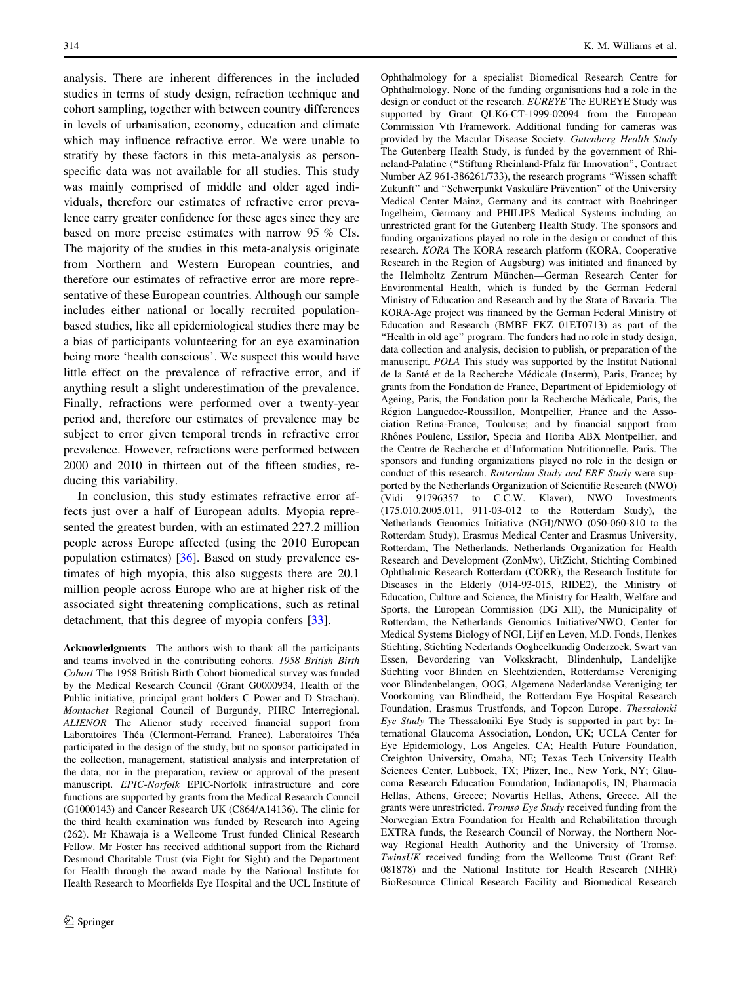analysis. There are inherent differences in the included studies in terms of study design, refraction technique and cohort sampling, together with between country differences in levels of urbanisation, economy, education and climate which may influence refractive error. We were unable to stratify by these factors in this meta-analysis as personspecific data was not available for all studies. This study was mainly comprised of middle and older aged individuals, therefore our estimates of refractive error prevalence carry greater confidence for these ages since they are based on more precise estimates with narrow 95 % CIs. The majority of the studies in this meta-analysis originate from Northern and Western European countries, and therefore our estimates of refractive error are more representative of these European countries. Although our sample includes either national or locally recruited populationbased studies, like all epidemiological studies there may be a bias of participants volunteering for an eye examination being more 'health conscious'. We suspect this would have little effect on the prevalence of refractive error, and if anything result a slight underestimation of the prevalence. Finally, refractions were performed over a twenty-year period and, therefore our estimates of prevalence may be subject to error given temporal trends in refractive error prevalence. However, refractions were performed between 2000 and 2010 in thirteen out of the fifteen studies, reducing this variability.

In conclusion, this study estimates refractive error affects just over a half of European adults. Myopia represented the greatest burden, with an estimated 227.2 million people across Europe affected (using the 2010 European population estimates) [[36\]](#page-10-0). Based on study prevalence estimates of high myopia, this also suggests there are 20.1 million people across Europe who are at higher risk of the associated sight threatening complications, such as retinal detachment, that this degree of myopia confers [\[33](#page-10-0)].

Acknowledgments The authors wish to thank all the participants and teams involved in the contributing cohorts. 1958 British Birth Cohort The 1958 British Birth Cohort biomedical survey was funded by the Medical Research Council (Grant G0000934, Health of the Public initiative, principal grant holders C Power and D Strachan). Montachet Regional Council of Burgundy, PHRC Interregional. ALIENOR The Alienor study received financial support from Laboratoires Théa (Clermont-Ferrand, France). Laboratoires Théa participated in the design of the study, but no sponsor participated in the collection, management, statistical analysis and interpretation of the data, nor in the preparation, review or approval of the present manuscript. EPIC-Norfolk EPIC-Norfolk infrastructure and core functions are supported by grants from the Medical Research Council (G1000143) and Cancer Research UK (C864/A14136). The clinic for the third health examination was funded by Research into Ageing (262). Mr Khawaja is a Wellcome Trust funded Clinical Research Fellow. Mr Foster has received additional support from the Richard Desmond Charitable Trust (via Fight for Sight) and the Department for Health through the award made by the National Institute for Health Research to Moorfields Eye Hospital and the UCL Institute of

Ophthalmology for a specialist Biomedical Research Centre for Ophthalmology. None of the funding organisations had a role in the design or conduct of the research. EUREYE The EUREYE Study was supported by Grant QLK6-CT-1999-02094 from the European Commission Vth Framework. Additional funding for cameras was provided by the Macular Disease Society. Gutenberg Health Study The Gutenberg Health Study, is funded by the government of Rhineland-Palatine (''Stiftung Rheinland-Pfalz fu¨r Innovation'', Contract Number AZ 961-386261/733), the research programs ''Wissen schafft Zukunft" and "Schwerpunkt Vaskuläre Prävention" of the University Medical Center Mainz, Germany and its contract with Boehringer Ingelheim, Germany and PHILIPS Medical Systems including an unrestricted grant for the Gutenberg Health Study. The sponsors and funding organizations played no role in the design or conduct of this research. KORA The KORA research platform (KORA, Cooperative Research in the Region of Augsburg) was initiated and financed by the Helmholtz Zentrum München-German Research Center for Environmental Health, which is funded by the German Federal Ministry of Education and Research and by the State of Bavaria. The KORA-Age project was financed by the German Federal Ministry of Education and Research (BMBF FKZ 01ET0713) as part of the ''Health in old age'' program. The funders had no role in study design, data collection and analysis, decision to publish, or preparation of the manuscript. POLA This study was supported by the Institut National de la Santé et de la Recherche Médicale (Inserm), Paris, France; by grants from the Fondation de France, Department of Epidemiology of Ageing, Paris, the Fondation pour la Recherche Médicale, Paris, the Région Languedoc-Roussillon, Montpellier, France and the Association Retina-France, Toulouse; and by financial support from Rhônes Poulenc, Essilor, Specia and Horiba ABX Montpellier, and the Centre de Recherche et d'Information Nutritionnelle, Paris. The sponsors and funding organizations played no role in the design or conduct of this research. Rotterdam Study and ERF Study were supported by the Netherlands Organization of Scientific Research (NWO) (Vidi 91796357 to C.C.W. Klaver), NWO Investments (175.010.2005.011, 911-03-012 to the Rotterdam Study), the Netherlands Genomics Initiative (NGI)/NWO (050-060-810 to the Rotterdam Study), Erasmus Medical Center and Erasmus University, Rotterdam, The Netherlands, Netherlands Organization for Health Research and Development (ZonMw), UitZicht, Stichting Combined Ophthalmic Research Rotterdam (CORR), the Research Institute for Diseases in the Elderly (014-93-015, RIDE2), the Ministry of Education, Culture and Science, the Ministry for Health, Welfare and Sports, the European Commission (DG XII), the Municipality of Rotterdam, the Netherlands Genomics Initiative/NWO, Center for Medical Systems Biology of NGI, Lijf en Leven, M.D. Fonds, Henkes Stichting, Stichting Nederlands Oogheelkundig Onderzoek, Swart van Essen, Bevordering van Volkskracht, Blindenhulp, Landelijke Stichting voor Blinden en Slechtzienden, Rotterdamse Vereniging voor Blindenbelangen, OOG, Algemene Nederlandse Vereniging ter Voorkoming van Blindheid, the Rotterdam Eye Hospital Research Foundation, Erasmus Trustfonds, and Topcon Europe. Thessalonki Eye Study The Thessaloniki Eye Study is supported in part by: International Glaucoma Association, London, UK; UCLA Center for Eye Epidemiology, Los Angeles, CA; Health Future Foundation, Creighton University, Omaha, NE; Texas Tech University Health Sciences Center, Lubbock, TX; Pfizer, Inc., New York, NY; Glaucoma Research Education Foundation, Indianapolis, IN; Pharmacia Hellas, Athens, Greece; Novartis Hellas, Athens, Greece. All the grants were unrestricted. Tromsø Eye Study received funding from the Norwegian Extra Foundation for Health and Rehabilitation through EXTRA funds, the Research Council of Norway, the Northern Norway Regional Health Authority and the University of Tromsø. TwinsUK received funding from the Wellcome Trust (Grant Ref: 081878) and the National Institute for Health Research (NIHR) BioResource Clinical Research Facility and Biomedical Research